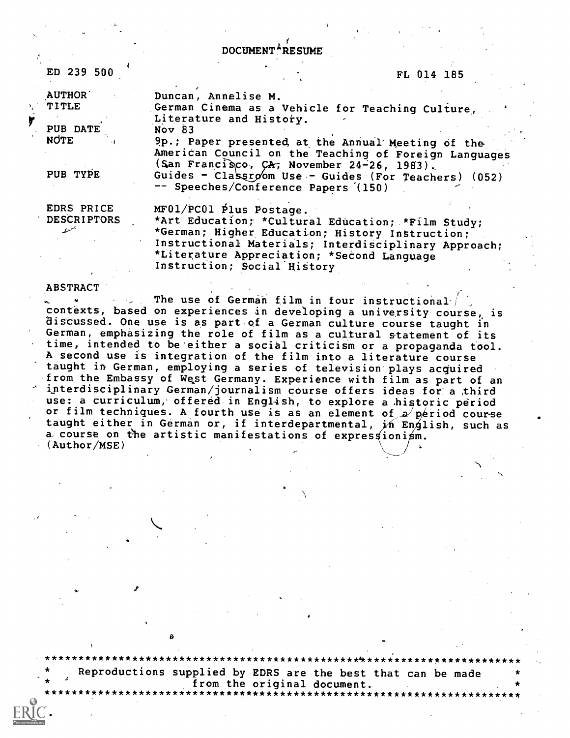DOCUMENT<sup>\*</sup>RESUME

ED 239 500

**AUTHOR** 

PUB DATE

PUB TYPE

EDRS PRICE **DESCRIPTORS** 

TITLE

**NOTE** 

## FL 014 185

Duncan, Annelise M. German Cinema as a Vehicle for Teaching Culture, Literature and History. Nov 83

9p.; Paper presented, at the Annual Meeting of the American Council on the Teaching of Foreign Languages (San Francisco, CA, November 24-26, 1983). Guides - Classroom Use - Guides (For Teachers) (052) -- Speeches/Conference Papers (150)

MF01/PC01 Plus Postage. \*Art Education; \*Cultural Education; \*Film Study; \*German; Higher Education; History Instruction: Instructional Materials; Interdisciplinary Approach; \*Literature Appreciation; \*Second Language Instruction; Social History

## **ABSTRACT**

The use of German film in four instructional contexts, based on experiences in developing a university course, is discussed. One use is as part of a German culture course taught in German, emphasizing the role of film as a cultural statement of its time, intended to be either a social criticism or a propaganda tool. A second use is integration of the film into a literature course taught in German, employing a series of television plays acquired from the Embassy of West Germany. Experience with film as part of an interdisciplinary German/journalism course offers ideas for a third use: a curriculum, offered in English, to explore a historic period or film techniques. A fourth use is as an element of a period course taught either in Gérman or, if interdepartmental, in English, such as a course on the artistic manifestations of expressionism.  $(Author/MSE)$ 

Reproductions supplied by EDRS are the best that can be made from the original document.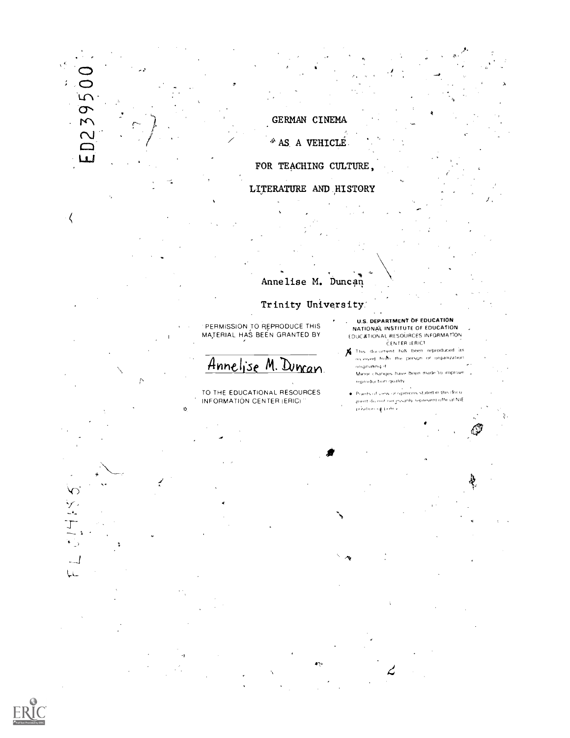GERMAN CINEMA <sup>\*</sup> AS A VEHICLE FOR TEACHING CULTURE, LITERATURE AND HISTORY

D2395

 $\overline{\mathbf{u}}$ 

 $\langle$ 

Lk,

 $\widetilde{\mathbb{C}}$  $\overline{\phantom{a}}$  $\overline{L}$ 

## Annelise M. Duncan Trinity University

PERMISSION TO REPRODUCE THIS MATERIAL HAS BEEN GRANTED BY

Annelise M. Duman

TO THE EDUCATIONAL RESOURCES INFORMATION CENTER (ERIC)

ń

- **U.S. DEPARTMENT OF EDUCATION** NATIONAL INSTITUTE OF EDUCATION EDUCATIONAL RESOURCES INFORMATION CENTER (ERICT
- This document has been reproduced as received from the person or organization onginating it. Minor changes have been made to improve. reproduction quality.

Ş

. Points of view or opinions stated in this document do not necessarily represent official NIE v <sup>abot</sup> primarinė

بے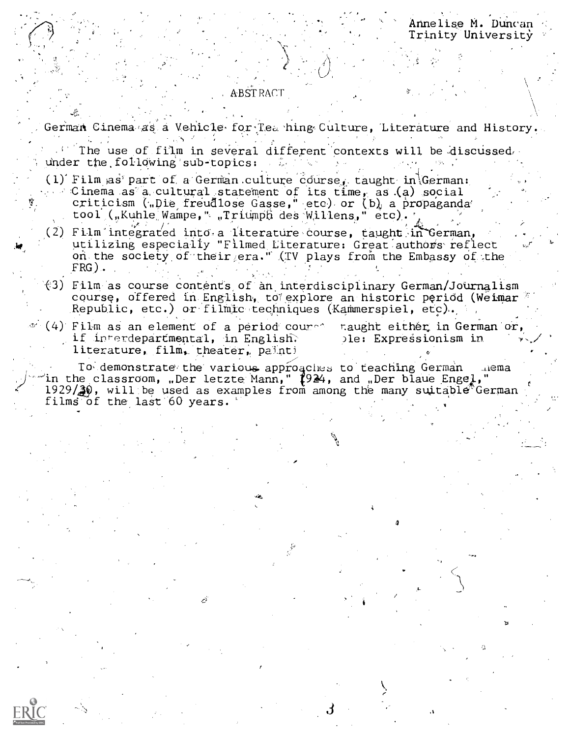Annelise M. Duncan Trinity University

## **ABSTRACT**

German Cinema as a Vehicle for Tea hing Culture, Literature and History.

The use of film in several different contexts will be discussed. under the following sub-topics:

- (1) Film as part of a German culture course, taught in German: Cinema as a cultural statement of its time, as (a) social criticism (.Die freudlose Gasse, etc) or (b) a propaganda tool ("Kuhle Wampe," "Triumph des Willens," etc).
- (2) Film integrated into a literature course, taught in German, utilizing especially "Filmed Literature: Great authors reflect on the society of their era." (TV plays from the Embassy of the  $FRG$ ).
- $(3)$  Film as course contents of an interdisciplinary German/Journalism course, offered in English, to explore an historic period (Weimar Republic, etc.) or filmic techniques (Kammerspiel, etc).
- $\sim$  (4) Film as an element of a period couret. if interdepartmental, in English. literature, film, theater, painti

naught either in German or, ple: Expressionism in

To demonstrate the various approaches to teaching German and the classroom, Der letzte Mann," (924, and Der blaue Enge)."  $\mu$ ema  $1929/\sqrt{30}$ , will be used as examples from among the many suitable German films of the last 60 years.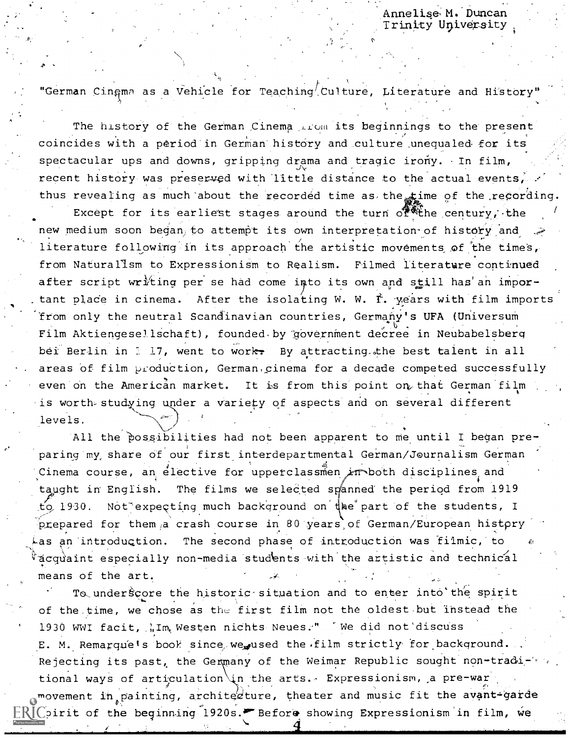Annelise M. Duncan Trinity University

"German Cinama as a Vehicle for Teaching<sup>/</sup>Culture, Literature and History"

The history of the German Cinema prom its beginnings to the present coincides with a period in German history and culture unequaled for its spectacular ups and downs, gripping drama and tragic irony. In film, recent history was preserved with little distance to the actual events, thus revealing as much about the recorded time as the time of the recording.

Except for its earliest stages around the turn of the century, the new medium soon began to attempt its own interpretation of history and literature following in its approach the artistic movements of the times, from Naturalism to Expressionism to Realism. Filmed literature continued after script writing per se had come into its own and still has an important place in cinema. After the isolating W. W. I. years with film imports from only the neutral Scandinavian countries, Germany's UFA (Universum Film Aktiengesellschaft), founded by government decree in Neubabelsberg bei Berlin in 117, went to work. By attracting the best talent in all areas of film production, German cinema for a decade competed successfully even on the American market. It is from this point on that German film is worth studying under a variety of aspects and on several different levels.

All the possibilities had not been apparent to me until I began preparing my share of our first interdepartmental German/Journalism German Cinema course, an elective for upperclassmen in both disciplines and taught in English. The films we selected spanned the period from 1919 to 1930. Not expecting much background on the part of the students, I prepared for them a crash course in 80 years of German/European history The second phase of introduction was filmic, to  $\overline{k}$ as an introduction. acquaint especially non-media students with the artistic and technical means of the art.

To underscore the historic situation and to enter into the spirit of the time, we chose as the first film not the oldest but instead the 1930 WWI facit, WIm Westen nichts Neues." We did not discuss E. M. Remarque's book since we used the film strictly for background. Rejecting its past, the Germany of the Weimar Republic sought non-traditional ways of articulation in the arts. Expressionism, a pre-war movement in painting, archited ture, theater and music fit the avant-garde  $\mathbb{R}$  [  $\mathbb{C}$  irit of the beginning 1920s.  $\blacktriangleright$  Before showing Expressionism in film, we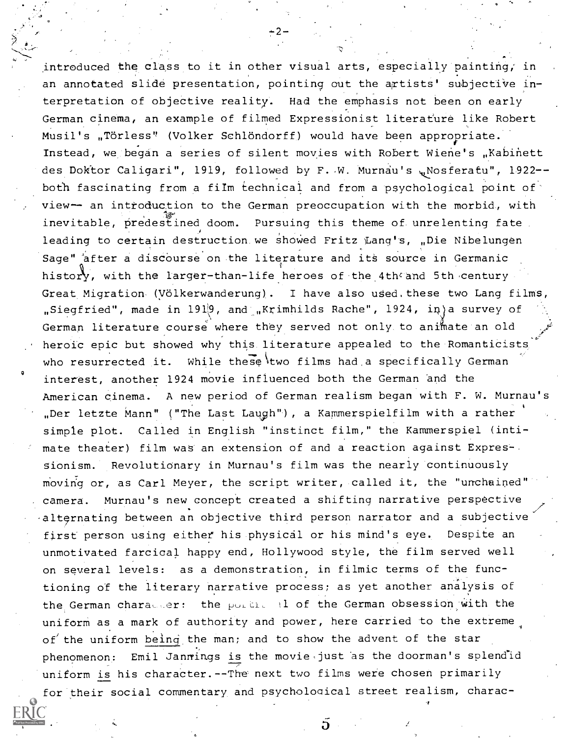introduced the class to it in other visual arts, especially painting; in an annotated slide presentation, pointing out the artists' subjective interpretation of objective reality. Had the emphasis not been on early German cinema, an example of filmed Expressionist literature like Robert Musil's "Törless" (Volker Schlöndorff) would have been appropriate. Instead, we began a series of silent movies with Robert Wiene's "Kabinett des Doktor Caligari", 1919, followed by F. W. Murnau's wNosferatu", 1922-both fascinating from a film technical and from a psychological point of view-- an introduction to the German preoccupation with the morbid, with inevitable, predestined doom. Pursuing this theme of unrelenting fate. leading to certain destruction we showed Fritz Lang's, "Die Nibelungen Sage" after a discourse on the literature and its source in Germanic history, with the larger-than-life heroes of the 4th and 5th century Great Migration. (Völkerwanderung). I have also used. these two Lang films, "Siegfried", made in 1919, and "Krimhilds Rache", 1924, in a survey of German literature course where they served not only to animate an old heroic epic but showed why this literature appealed to the Romanticists who resurrected it. While these two films had a specifically German interest, another 1924 movie influenced both the German and the American cinema. A new period of German realism began with F. W. Murnau's "Der letzte Mann" ("The Last Laugh"), a Kammerspielfilm with a rather simple plot. Called in English "instinct film," the Kammerspiel (intimate theater) film was an extension of and a reaction against Expres-. sionism. RevolutiOnary in Murnau's film was the nearly continuously moving or, as Carl Meyer, the script writer, called it, the "unchained" camera. Murnau's new concept created a shifting narrative perspective alternating between an objective third person narrator and a subjective first person using either his physical or his mind's eye. Despite an unmotivated farcical happy end, Hollywood style, the film served well on several levels: as a demonstration, in filmic terms of the functioning of the literary narrative process; as yet another analysis of the German character: the portion  $1$  of the German obsession with the uniform as a mark of authority and power, here carried to the extreme of the uniform being the man; and to show the advent of the star phenomenon: Emil Jannings is the movie just as the doorman's splendid uniform is his character.--The next two films were chosen primarily for their social commentary and psychological street realism, charac-

h.

?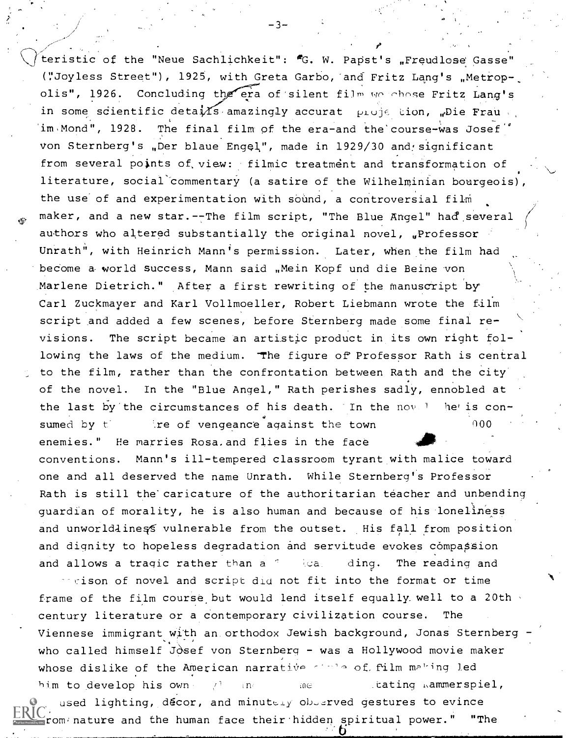teristic of the "Neue Sachlichkeit": "G. W. Papst's "Freudlose Gasse" ("Joyless Street"), 1925, with Greta Garbo, and Fritz Lang's "Metropolis", 1926. Concluding the era of silent film we chose Fritz Lang's in some scientific deta $\sqrt[1]{2}$  amazingly accurat proje tion, "Die Frau , 'im,Mond", 1928. The final film of the era-and the'course-was Josef von Sternberg's "Der blaue Engel", made in 1929/30 and significant from several points of view: filmic treatment and transformation of literature, social commentary (a satire of the Wilhelminian bourgeois), the use of and experimentation with sound, a controversial film maker, and a new star. -- The film script, "The Blue Angel" had several authors who altered substantially the original novel, "Professor Unrath", with Heinrich Mann's permission. Later, when the film had become a world success, Mann said "Mein Kopf und die Beine von Marlene Dietrich." After a first rewriting of the manuscript by Carl Zuckmayer and Karl Vollmoeller, Robert Liebmann wrote the film script and added a few scenes, before Sternberg made some final revisions. The script became an artistic product in its own right following the laws of the medium. The figure of Professor Rath is central to the film, rather than the confrontation between Rath and the city of the novel. In the "Blue Angel," Rath perishes sadly, ennobled at the last by the circumstances of his death. In the novel the is consumed by  $t$  -  $\lambda$  ire of vengeance against the town enemies." He marries Rosa,and flies in the face conventions. Mann's ill-tempered classroom tyrant with malice toward one and all deserved the name Unrath. While Sternberg's Professor Rath is still the caricature of the authoritarian teacher and unbending guardian of morality, he is also human and because of his loneliness and unworldliness vulnerable from the outset. His fall from position and dignity to hopeless degradation and servitude evokes compassion and allows a tragic rather than a  $\frac{1}{2}$  ding. The reading and 000

 $\sim$ cison of novel and script did not fit into the format or time frame of the film course but would lend itself equally well to a 20th century literature or a contemporary civilization course. The Viennese immigrant with an, orthodox Jewish background, Jonas Sternberg who called himself Josef von Sternberg - was a Hollywood movie maker whose dislike of the American narrative sinic of film making led him to develop his own  $\mathbb{P}^1$  and the mass individual intervals  $\mathbb{P}^1$ , and  $\mathbb{P}^1$ ,  $\mathbb{P}^1$ used lighting, decor, and minutely objerved gestures to evince from nature and the human face their hidden spiritual power." "The

 $-3-$ 

 $\mathcal{F}$  and  $\mathcal{F}$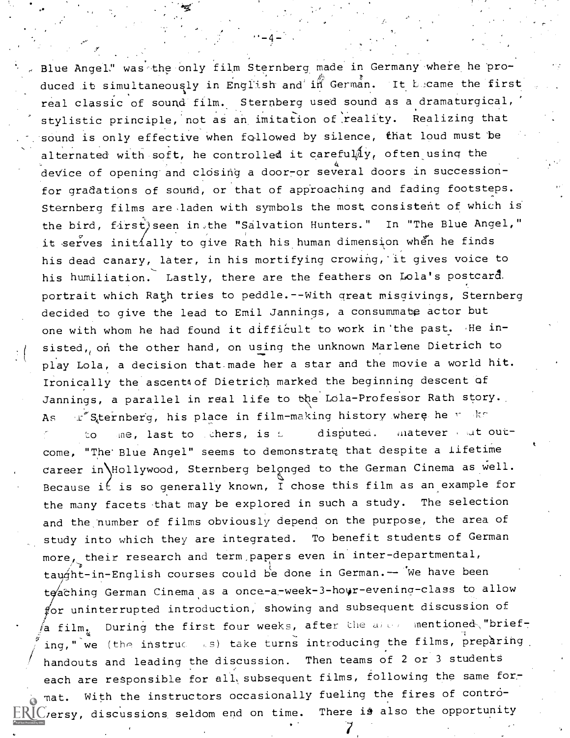Blue Angel," was the only film Sternberg made in Germany where he produced it simultaneously in English and in German. It Lucame the first real classic of sound film. Sternberg used sound as a dramaturgical, stylistic principle, not as an imitation of reality. Realizing that sound is only effective when followed by silence, that loud must be alternated with soft, he controlled it careful $/4y$ , often using the device of opening and closing a door-or several doors in successionfor gradations of sound, or that of approaching and fading footsteps. Sternberg films are laden with symbols the most consistent of which is the bird, first) seen in,the "Salvation Hunters." In "The Blue Angel," it serves init ally to give Rath his human dimension when he finds his dead canary, later, in his mortifying crowing, it gives voice to his humiliation. Lastly, there are the feathers on Lola's postcard, portrait which Rath tries to peddle.--With great misgivings, Sternberg decided to give the lead to Emil Jannings, a consummate actor but one with whom he had found it difficult to work in the past. He inone with whom he had found it difficult to work in the past, He in-<br>sisted, on the other hand, on using the unknown Marlene Dietrich to play Lola, a decision that made her a star and the movie a world hit. Ironically the ascent4of Dietrich marked the beginning descent of Jannings, a parallel in real life to the Lola-Professor Rath story. As out Sternberg, his place in film-making history where he is less to me, last to thers, is  $\mathfrak l$  disputed. Matever , at outcome, "The'Blue Angel" seems to demonstrate that despite a lifetime career in Hollywood, Sternberg belonged to the German Cinema as well. Because it is so generally known, I chose this film as an example for the many facets that may be explored in such a study. The selection and the number of films obviously depend on the purpose, the area of study into which they are integrated. To benefit students of German more, their research and term,papers even in inter-departmental, taught-in-English courses could be done in German.-- We have been teaching German Cinema as a once-a-week-3-hour-evening-class to allow for uninterrupted introduction, showing and subsequent discussion of a film. During the first four weeks, after the allew mentioned "briefing," we (the instruc ss) take turns introducing the films, preparing. handouts and leading the discussion. Then teams of 2 or 3 students each are responsible for all subsequent films, following the same format. With the instructors occasionally fueling the fires of contro- $\mathbb{R}\mathbb{I}$  C ersy, discussions seldom end on time. There is also the opportunity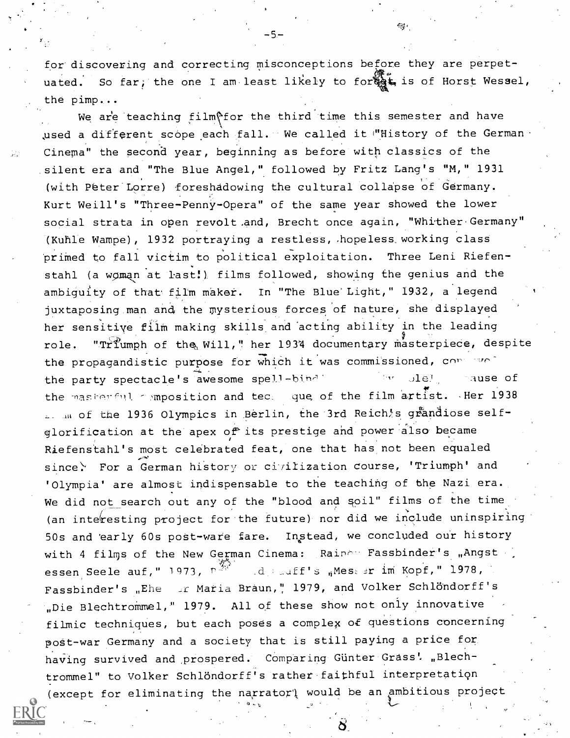for discovering and correcting misconceptions before they are perpetuated. So far; the one I am least likely to for  $\mathbb{Q}_2$ , is of Horst Wessel, the pimp...

εg.

We are teaching film for the third time this semester and have used a different scope each fall. We called it "History of the German . Cinema" the second year, beginning as before with classics of the silent era and "The Blue Angel," followed by Fritz Lang's "M," 1931 (with Peter Lorre) foreshadowing the cultural collapse of Germany. Kurt Weill's "Three- Penny- Opera" of the same year showed the lower social strata in open revolt.and, Brecht once again, "Whither-Germany" (Kuhle Wampe), 1932 portraying a restless, .hopeless, working clasS primed to fall victim to political exploitation. Three Leni Riefen-. stahl (a woman at last!), films followed, showing the genius and the ambiguity of that film maker. In "The Blue' Light," 1932, a legend juxtaposing.man and the mysterious forces of nature, she displayed her sensitive film making skills.and 'acting ability in the leading role. "Triumph of the Will," her 1934 documentary masterpiece, despite the propagandistic purpose for which it was commissioned, consider the party spectacle's awesome spell-bind in the party spectacle's awesome spell-bind the masherful composition and ted: que of the film artist. . Her 1938 I. In of the 1936 Olympics in Berlin, the 3rd Reich's grandiose selfglorification at the apex of its prestige and power also became Riefenstahl's most celebrated feat, one that has not been equaled since. For a German history or civilization course, 'Triumph' and 'Olympia' are almost indispensable to the teaching of the Nazi era. We did not search out any of the "blood and soil" films of the time (an interesting project for the future) nor did we include uninspiring 50s and 'early 60s post-ware fare. Instead, we concluded our history with 4 films of the New German Cinema: Raine Fassbinder's "Angst essen Seele auf," 1973, 7-' erman Cinema: R<br>《  $\mathbb{E}\text{d}$  im  $\mathbb{E}\text{d}$  in  $\mathbb{E}\text{d}$  in  $\mathbb{E}\text{d}$  im  $\mathbb{E}\text{d}$  im  $\mathbb{E}\text{d}$  im  $\mathbb{E}\text{d}$  im  $\mathbb{E}\text{d}$  im  $\mathbb{E}\text{d}$  im  $\mathbb{E}\text{d}$  im  $\mathbb{E}\text{d}$  im  $\mathbb{E}\text{d}$  im  $\mathbb{E}\text{d}$  im  $\mathbb{E}\text{d}$  Fassbinder's "Ehe er Maria Braun," 1979, and Volker Schlöndorff's "Die Blechtrommel," 1979. All of these show not only innovative filmic techniques, but each poses a complex of questions concerning post-war Germany and a society that is still paying a price for having survived and prospered. Comparing Günter Grass' "Blechtrommel" to Volker Schlöndorff's rather faithful interpretation (except for eliminating the narrator) would be an ambitious project

-5-

ÎЛ.